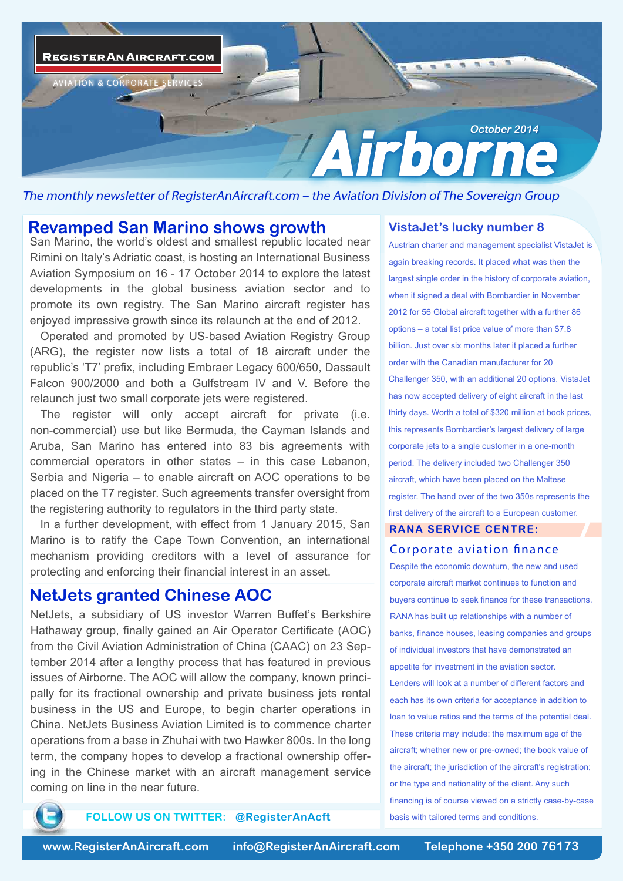

The monthly newsletter of RegisterAnAircraft.com – the Aviation Division of The Sovereign Group

## **Revamped San Marino shows growth**

San Marino, the world's oldest and smallest republic located near Rimini on Italy's Adriatic coast, is hosting an International Business Aviation Symposium on 16 - 17 October 2014 to explore the latest developments in the global business aviation sector and to promote its own registry. The San Marino aircraft register has enjoyed impressive growth since its relaunch at the end of 2012.

Operated and promoted by US-based Aviation Registry Group (ARG), the register now lists a total of 18 aircraft under the republic's 'T7' prefix, including Embraer Legacy 600/650, Dassault Falcon 900/2000 and both a Gulfstream IV and V. Before the relaunch just two small corporate jets were registered.

The register will only accept aircraft for private (i.e. non-commercial) use but like Bermuda, the Cayman Islands and Aruba, San Marino has entered into 83 bis agreements with commercial operators in other states – in this case Lebanon, Serbia and Nigeria – to enable aircraft on AOC operations to be placed on the T7 register. Such agreements transfer oversight from the registering authority to regulators in the third party state.

In a further development, with effect from 1 January 2015, San Marino is to ratify the Cape Town Convention, an international mechanism providing creditors with a level of assurance for protecting and enforcing their financial interest in an asset.

# **NetJets granted Chinese AOC**

NetJets, a subsidiary of US investor Warren Buffet's Berkshire Hathaway group, finally gained an Air Operator Certificate (AOC) from the Civil Aviation Administration of China (CAAC) on 23 September 2014 after a lengthy process that has featured in previous issues of Airborne. The AOC will allow the company, known principally for its fractional ownership and private business jets rental business in the US and Europe, to begin charter operations in China. NetJets Business Aviation Limited is to commence charter operations from a base in Zhuhai with two Hawker 800s. In the long term, the company hopes to develop a fractional ownership offering in the Chinese market with an aircraft management service coming on line in the near future.

## **VistaJet's lucky number 8**

Austrian charter and management specialist VistaJet is again breaking records. It placed what was then the largest single order in the history of corporate aviation, when it signed a deal with Bombardier in November 2012 for 56 Global aircraft together with a further 86 options – a total list price value of more than \$7.8 billion. Just over six months later it placed a further order with the Canadian manufacturer for 20 Challenger 350, with an additional 20 options. VistaJet has now accepted delivery of eight aircraft in the last thirty days. Worth a total of \$320 million at book prices, this represents Bombardier's largest delivery of large corporate jets to a single customer in a one-month period. The delivery included two Challenger 350 aircraft, which have been placed on the Maltese register. The hand over of the two 350s represents the first delivery of the aircraft to a European customer.

# **RANA SERVICE CENTRE:**

## *Corporate aviation nance*

Despite the economic downturn, the new and used corporate aircraft market continues to function and buyers continue to seek finance for these transactions. RANA has built up relationships with a number of banks, finance houses, leasing companies and groups of individual investors that have demonstrated an appetite for investment in the aviation sector. Lenders will look at a number of different factors and each has its own criteria for acceptance in addition to loan to value ratios and the terms of the potential deal. These criteria may include: the maximum age of the . aircraft; whether new or pre-owned; the book value of the aircraft; the jurisdiction of the aircraft's registration; or the type and nationality of the client. Any such financing is of course viewed on a strictly case-by-case basis with tailored terms and conditions.



**FOLLOW US ON TWITTER: @RegisterAnAcft**